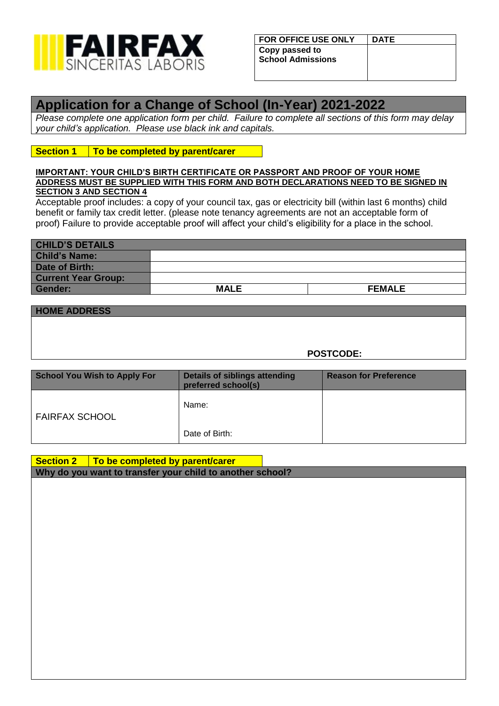

| <b>FOR OFFICE USE ONLY</b>                 | <b>DATE</b> |
|--------------------------------------------|-------------|
| Copy passed to<br><b>School Admissions</b> |             |

# **Application for a Change of School (In-Year) 2021-2022**

*Please complete one application form per child. Failure to complete all sections of this form may delay your child's application. Please use black ink and capitals.*

## **Section 1 To be completed by parent/carer**

#### **IMPORTANT: YOUR CHILD'S BIRTH CERTIFICATE OR PASSPORT AND PROOF OF YOUR HOME ADDRESS MUST BE SUPPLIED WITH THIS FORM AND BOTH DECLARATIONS NEED TO BE SIGNED IN SECTION 3 AND SECTION 4**

Acceptable proof includes: a copy of your council tax, gas or electricity bill (within last 6 months) child benefit or family tax credit letter. (please note tenancy agreements are not an acceptable form of proof) Failure to provide acceptable proof will affect your child's eligibility for a place in the school.

| <b>CHILD'S DETAILS</b>     |             |               |
|----------------------------|-------------|---------------|
| <b>Child's Name:</b>       |             |               |
| <b>Date of Birth:</b>      |             |               |
| <b>Current Year Group:</b> |             |               |
| Gender:                    | <b>MALE</b> | <b>FEMALE</b> |

**POSTCODE:**

| <b>School You Wish to Apply For</b> | <b>Details of siblings attending</b><br>preferred school(s) | <b>Reason for Preference</b> |  |
|-------------------------------------|-------------------------------------------------------------|------------------------------|--|
| <b>FAIRFAX SCHOOL</b>               | Name:                                                       |                              |  |
|                                     | Date of Birth:                                              |                              |  |

| Section $2 \mid$ To be completed by parent/carer          |  |
|-----------------------------------------------------------|--|
| Why do you want to transfer your child to another school? |  |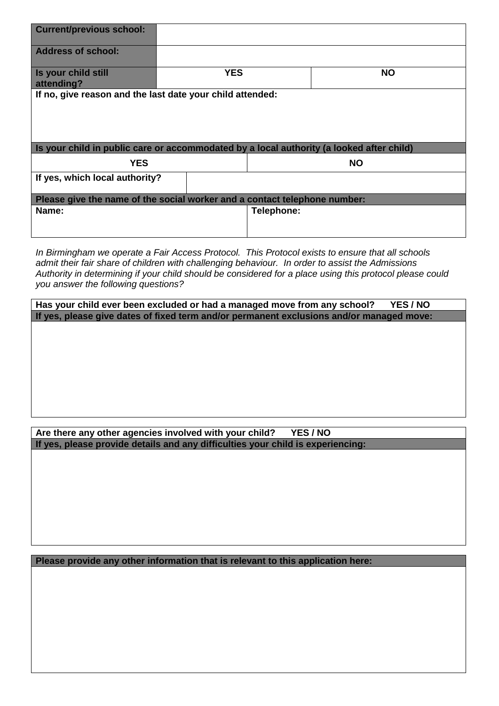| <b>Current/previous school:</b>                                                          |            |            |           |  |
|------------------------------------------------------------------------------------------|------------|------------|-----------|--|
| <b>Address of school:</b>                                                                |            |            |           |  |
| Is your child still<br>attending?                                                        | <b>YES</b> |            | <b>NO</b> |  |
| If no, give reason and the last date your child attended:                                |            |            |           |  |
|                                                                                          |            |            |           |  |
| Is your child in public care or accommodated by a local authority (a looked after child) |            |            |           |  |
| <b>YES</b>                                                                               |            |            | <b>NO</b> |  |
| If yes, which local authority?                                                           |            |            |           |  |
| Please give the name of the social worker and a contact telephone number:                |            |            |           |  |
| Name:                                                                                    |            | Telephone: |           |  |
|                                                                                          |            |            |           |  |

*In Birmingham we operate a Fair Access Protocol. This Protocol exists to ensure that all schools admit their fair share of children with challenging behaviour. In order to assist the Admissions Authority in determining if your child should be considered for a place using this protocol please could you answer the following questions?*

**Has your child ever been excluded or had a managed move from any school? YES / NO If yes, please give dates of fixed term and/or permanent exclusions and/or managed move:**

## **Are there any other agencies involved with your child? YES / NO If yes, please provide details and any difficulties your child is experiencing:**

**Please provide any other information that is relevant to this application here:**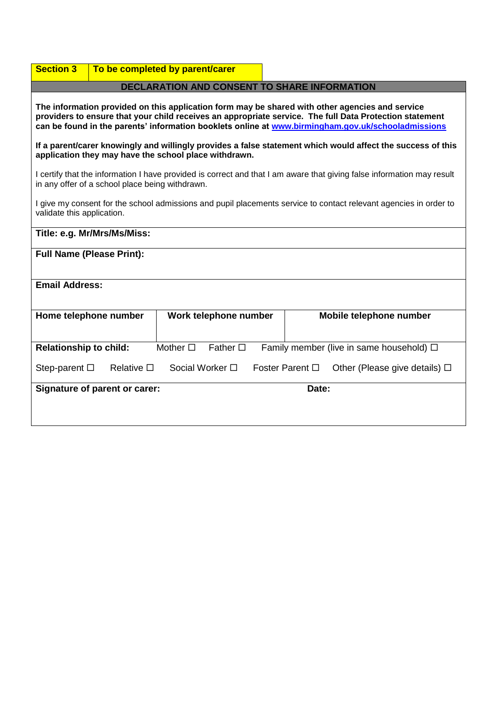| <b>Section 3</b>                                                                                                                                                                                                                                                                                                 |                                              | To be completed by parent/carer |                  |       |                                               |
|------------------------------------------------------------------------------------------------------------------------------------------------------------------------------------------------------------------------------------------------------------------------------------------------------------------|----------------------------------------------|---------------------------------|------------------|-------|-----------------------------------------------|
|                                                                                                                                                                                                                                                                                                                  | DECLARATION AND CONSENT TO SHARE INFORMATION |                                 |                  |       |                                               |
| The information provided on this application form may be shared with other agencies and service<br>providers to ensure that your child receives an appropriate service. The full Data Protection statement<br>can be found in the parents' information booklets online at www.birmingham.gov.uk/schooladmissions |                                              |                                 |                  |       |                                               |
| If a parent/carer knowingly and willingly provides a false statement which would affect the success of this<br>application they may have the school place withdrawn.                                                                                                                                             |                                              |                                 |                  |       |                                               |
| I certify that the information I have provided is correct and that I am aware that giving false information may result<br>in any offer of a school place being withdrawn.                                                                                                                                        |                                              |                                 |                  |       |                                               |
| I give my consent for the school admissions and pupil placements service to contact relevant agencies in order to<br>validate this application.                                                                                                                                                                  |                                              |                                 |                  |       |                                               |
|                                                                                                                                                                                                                                                                                                                  | Title: e.g. Mr/Mrs/Ms/Miss:                  |                                 |                  |       |                                               |
| <b>Full Name (Please Print):</b>                                                                                                                                                                                                                                                                                 |                                              |                                 |                  |       |                                               |
| <b>Email Address:</b>                                                                                                                                                                                                                                                                                            |                                              |                                 |                  |       |                                               |
| Home telephone number                                                                                                                                                                                                                                                                                            |                                              | Work telephone number           |                  |       | Mobile telephone number                       |
| <b>Relationship to child:</b>                                                                                                                                                                                                                                                                                    |                                              | Mother $\square$                | Father $\square$ |       | Family member (live in same household) $\Box$ |
| Social Worker □<br>Foster Parent $\square$<br>Step-parent $\square$<br>Relative $\square$<br>Other (Please give details) $\Box$                                                                                                                                                                                  |                                              |                                 |                  |       |                                               |
|                                                                                                                                                                                                                                                                                                                  | <b>Signature of parent or carer:</b>         |                                 |                  | Date: |                                               |

Ť.